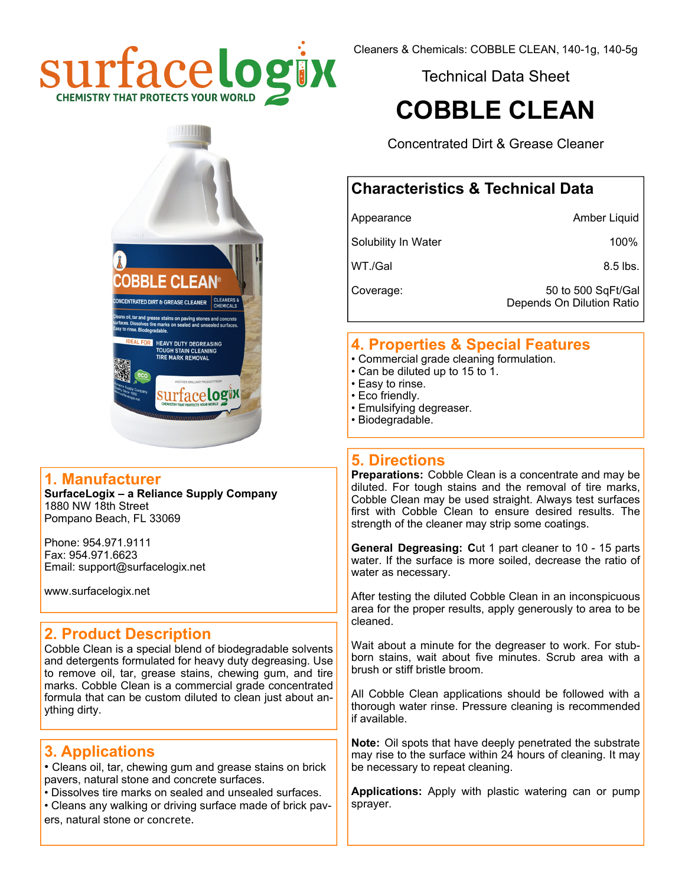

Technical Data Sheet

# **COBBLE CLEAN**

Concentrated Dirt & Grease Cleaner

## **Characteristics & Technical Data**

Appearance Amber Liquid

Solubility In Water 100%

 $WT./Gal$  8.5 lbs.

Coverage: 50 to 500 SqFt/Gal Depends On Dilution Ratio

## **4. Properties & Special Features**

- Commercial grade cleaning formulation.
- Can be diluted up to 15 to 1.
- Easy to rinse.
- Eco friendly.
- Emulsifying degreaser.
- Biodegradable.

## **5. Directions**

**Preparations:** Cobble Clean is a concentrate and may be diluted. For tough stains and the removal of tire marks, Cobble Clean may be used straight. Always test surfaces first with Cobble Clean to ensure desired results. The strength of the cleaner may strip some coatings.

**General Degreasing: C**ut 1 part cleaner to 10 - 15 parts water. If the surface is more soiled, decrease the ratio of water as necessary.

After testing the diluted Cobble Clean in an inconspicuous area for the proper results, apply generously to area to be cleaned.

Wait about a minute for the degreaser to work. For stubborn stains, wait about five minutes. Scrub area with a brush or stiff bristle broom.

All Cobble Clean applications should be followed with a thorough water rinse. Pressure cleaning is recommended if available.

**Note:** Oil spots that have deeply penetrated the substrate may rise to the surface within 24 hours of cleaning. It may be necessary to repeat cleaning.

**Applications:** Apply with plastic watering can or pump sprayer.



#### **1. Manufacturer**

**SurfaceLogix – a Reliance Supply Company**  1880 NW 18th Street Pompano Beach, FL 33069

Phone: 954.971.9111 Fax: 954.971.6623 Email: support@surfacelogix.net

www.surfacelogix.net

## **2. Product Description**

Cobble Clean is a special blend of biodegradable solvents and detergents formulated for heavy duty degreasing. Use to remove oil, tar, grease stains, chewing gum, and tire marks. Cobble Clean is a commercial grade concentrated formula that can be custom diluted to clean just about anything dirty.

## **3. Applications**

• Cleans oil, tar, chewing gum and grease stains on brick pavers, natural stone and concrete surfaces.

- Dissolves tire marks on sealed and unsealed surfaces.
- Cleans any walking or driving surface made of brick pavers, natural stone or concrete.